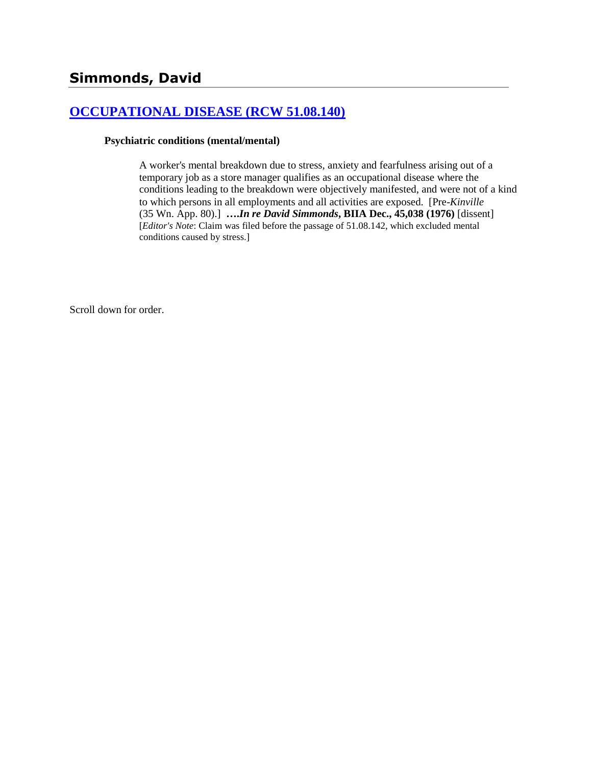## **[OCCUPATIONAL DISEASE \(RCW 51.08.140\)](http://www.biia.wa.gov/SDSubjectIndex.html#OCCUPATIONAL_DISEASE)**

#### **Psychiatric conditions (mental/mental)**

A worker's mental breakdown due to stress, anxiety and fearfulness arising out of a temporary job as a store manager qualifies as an occupational disease where the conditions leading to the breakdown were objectively manifested, and were not of a kind to which persons in all employments and all activities are exposed. [Pre-*Kinville* (35 Wn. App. 80).] **….***In re David Simmonds***, BIIA Dec., 45,038 (1976)** [dissent] [*Editor's Note*: Claim was filed before the passage of 51.08.142, which excluded mental conditions caused by stress.]

Scroll down for order.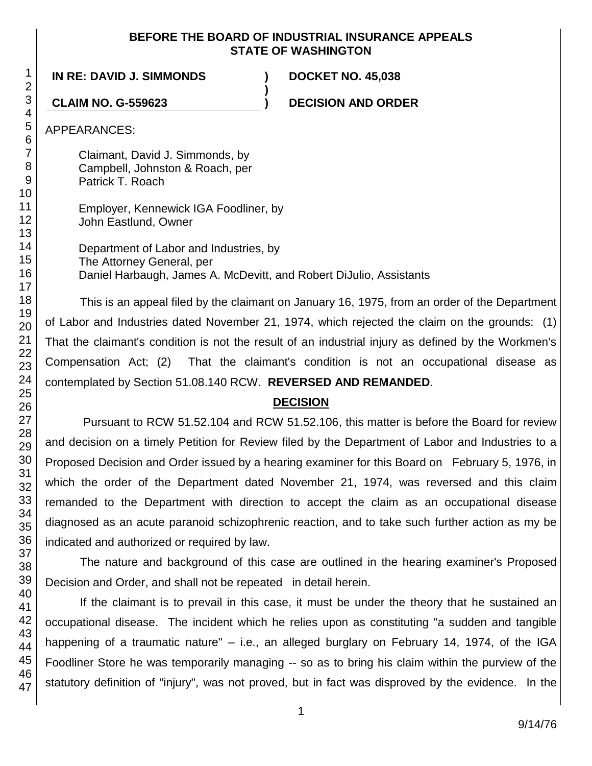### **BEFORE THE BOARD OF INDUSTRIAL INSURANCE APPEALS STATE OF WASHINGTON**

**)**

**IN RE: DAVID J. SIMMONDS ) DOCKET NO. 45,038**

**CLAIM NO. G-559623 ) DECISION AND ORDER**

APPEARANCES:

Claimant, David J. Simmonds, by Campbell, Johnston & Roach, per Patrick T. Roach

Employer, Kennewick IGA Foodliner, by John Eastlund, Owner

Department of Labor and Industries, by The Attorney General, per Daniel Harbaugh, James A. McDevitt, and Robert DiJulio, Assistants

This is an appeal filed by the claimant on January 16, 1975, from an order of the Department of Labor and Industries dated November 21, 1974, which rejected the claim on the grounds: (1) That the claimant's condition is not the result of an industrial injury as defined by the Workmen's Compensation Act; (2) That the claimant's condition is not an occupational disease as contemplated by Section 51.08.140 RCW. **REVERSED AND REMANDED**.

# **DECISION**

Pursuant to RCW 51.52.104 and RCW 51.52.106, this matter is before the Board for review and decision on a timely Petition for Review filed by the Department of Labor and Industries to a Proposed Decision and Order issued by a hearing examiner for this Board on February 5, 1976, in which the order of the Department dated November 21, 1974, was reversed and this claim remanded to the Department with direction to accept the claim as an occupational disease diagnosed as an acute paranoid schizophrenic reaction, and to take such further action as my be indicated and authorized or required by law.

The nature and background of this case are outlined in the hearing examiner's Proposed Decision and Order, and shall not be repeated in detail herein.

If the claimant is to prevail in this case, it must be under the theory that he sustained an occupational disease. The incident which he relies upon as constituting "a sudden and tangible happening of a traumatic nature" – i.e., an alleged burglary on February 14, 1974, of the IGA Foodliner Store he was temporarily managing -- so as to bring his claim within the purview of the statutory definition of "injury", was not proved, but in fact was disproved by the evidence. In the

1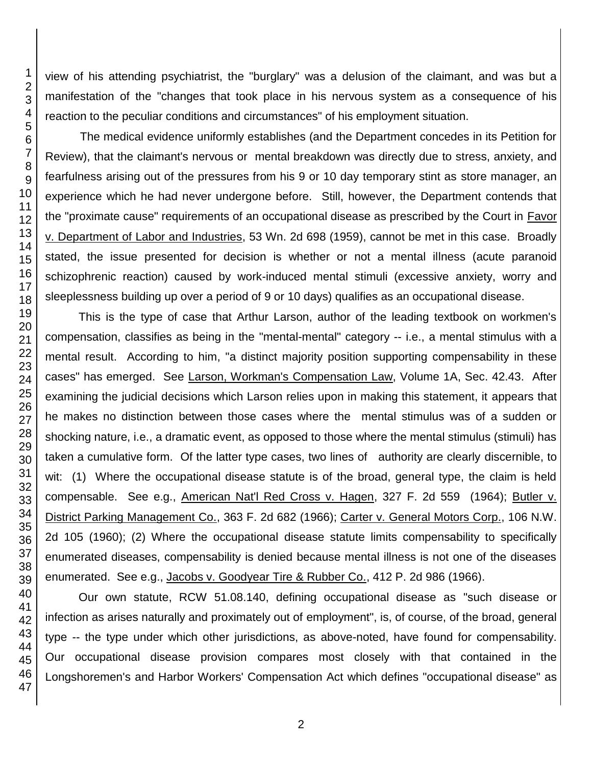view of his attending psychiatrist, the "burglary" was a delusion of the claimant, and was but a manifestation of the "changes that took place in his nervous system as a consequence of his reaction to the peculiar conditions and circumstances" of his employment situation.

The medical evidence uniformly establishes (and the Department concedes in its Petition for Review), that the claimant's nervous or mental breakdown was directly due to stress, anxiety, and fearfulness arising out of the pressures from his 9 or 10 day temporary stint as store manager, an experience which he had never undergone before. Still, however, the Department contends that the "proximate cause" requirements of an occupational disease as prescribed by the Court in Favor v. Department of Labor and Industries, 53 Wn. 2d 698 (1959), cannot be met in this case. Broadly stated, the issue presented for decision is whether or not a mental illness (acute paranoid schizophrenic reaction) caused by work-induced mental stimuli (excessive anxiety, worry and sleeplessness building up over a period of 9 or 10 days) qualifies as an occupational disease.

This is the type of case that Arthur Larson, author of the leading textbook on workmen's compensation, classifies as being in the "mental-mental" category -- i.e., a mental stimulus with a mental result. According to him, "a distinct majority position supporting compensability in these cases" has emerged. See Larson, Workman's Compensation Law, Volume 1A, Sec. 42.43. After examining the judicial decisions which Larson relies upon in making this statement, it appears that he makes no distinction between those cases where the mental stimulus was of a sudden or shocking nature, i.e., a dramatic event, as opposed to those where the mental stimulus (stimuli) has taken a cumulative form. Of the latter type cases, two lines of authority are clearly discernible, to wit: (1) Where the occupational disease statute is of the broad, general type, the claim is held compensable. See e.g., American Nat'l Red Cross v. Hagen, 327 F. 2d 559 (1964); Butler v. District Parking Management Co., 363 F. 2d 682 (1966); Carter v. General Motors Corp., 106 N.W. 2d 105 (1960); (2) Where the occupational disease statute limits compensability to specifically enumerated diseases, compensability is denied because mental illness is not one of the diseases enumerated. See e.g., Jacobs v. Goodyear Tire & Rubber Co., 412 P. 2d 986 (1966).

Our own statute, RCW 51.08.140, defining occupational disease as "such disease or infection as arises naturally and proximately out of employment", is, of course, of the broad, general type -- the type under which other jurisdictions, as above-noted, have found for compensability. Our occupational disease provision compares most closely with that contained in the Longshoremen's and Harbor Workers' Compensation Act which defines "occupational disease" as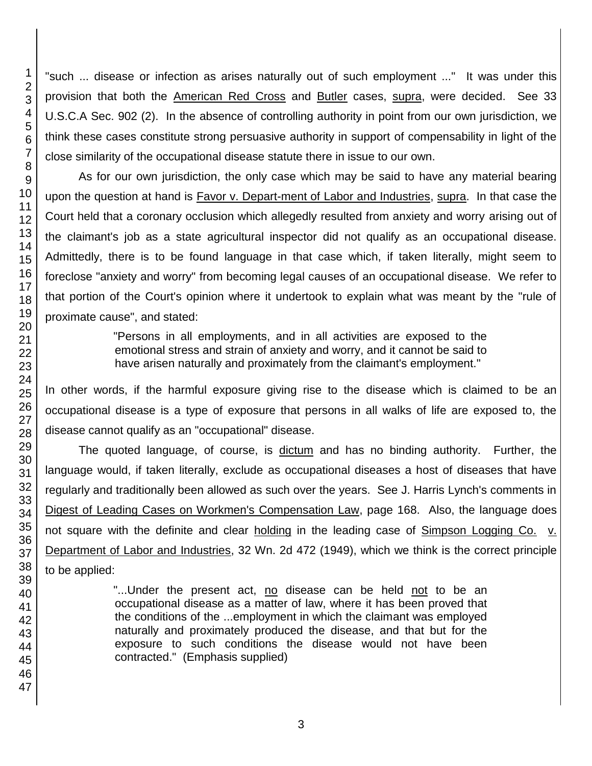"such ... disease or infection as arises naturally out of such employment ..." It was under this provision that both the American Red Cross and Butler cases, supra, were decided. See 33 U.S.C.A Sec. 902 (2). In the absence of controlling authority in point from our own jurisdiction, we think these cases constitute strong persuasive authority in support of compensability in light of the close similarity of the occupational disease statute there in issue to our own.

As for our own jurisdiction, the only case which may be said to have any material bearing upon the question at hand is Favor v. Depart-ment of Labor and Industries, supra. In that case the Court held that a coronary occlusion which allegedly resulted from anxiety and worry arising out of the claimant's job as a state agricultural inspector did not qualify as an occupational disease. Admittedly, there is to be found language in that case which, if taken literally, might seem to foreclose "anxiety and worry" from becoming legal causes of an occupational disease. We refer to that portion of the Court's opinion where it undertook to explain what was meant by the "rule of proximate cause", and stated:

> "Persons in all employments, and in all activities are exposed to the emotional stress and strain of anxiety and worry, and it cannot be said to have arisen naturally and proximately from the claimant's employment."

In other words, if the harmful exposure giving rise to the disease which is claimed to be an occupational disease is a type of exposure that persons in all walks of life are exposed to, the disease cannot qualify as an "occupational" disease.

The quoted language, of course, is dictum and has no binding authority. Further, the language would, if taken literally, exclude as occupational diseases a host of diseases that have regularly and traditionally been allowed as such over the years. See J. Harris Lynch's comments in Digest of Leading Cases on Workmen's Compensation Law, page 168. Also, the language does not square with the definite and clear holding in the leading case of Simpson Logging Co. v. Department of Labor and Industries, 32 Wn. 2d 472 (1949), which we think is the correct principle to be applied:

> "...Under the present act, no disease can be held not to be an occupational disease as a matter of law, where it has been proved that the conditions of the ...employment in which the claimant was employed naturally and proximately produced the disease, and that but for the exposure to such conditions the disease would not have been contracted." (Emphasis supplied)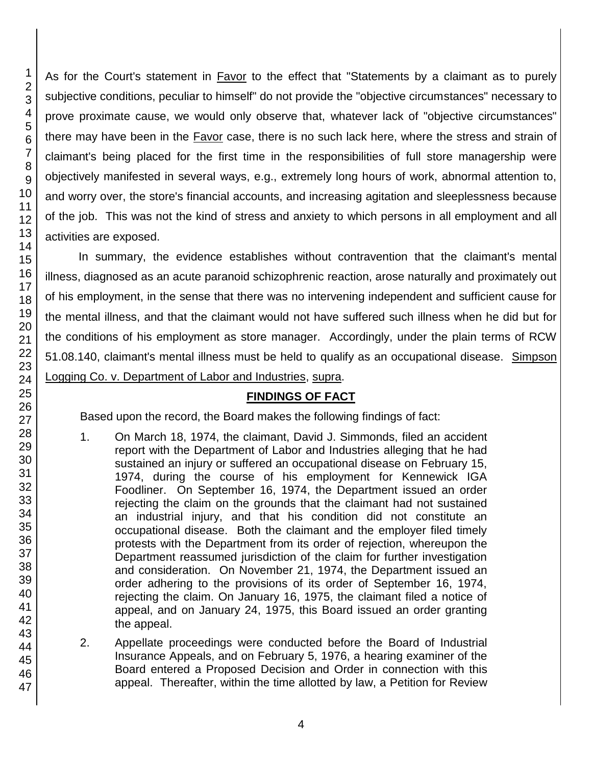46 47

1 2 3 As for the Court's statement in Favor to the effect that "Statements by a claimant as to purely subjective conditions, peculiar to himself" do not provide the "objective circumstances" necessary to prove proximate cause, we would only observe that, whatever lack of "objective circumstances" there may have been in the Favor case, there is no such lack here, where the stress and strain of claimant's being placed for the first time in the responsibilities of full store managership were objectively manifested in several ways, e.g., extremely long hours of work, abnormal attention to, and worry over, the store's financial accounts, and increasing agitation and sleeplessness because of the job. This was not the kind of stress and anxiety to which persons in all employment and all activities are exposed.

In summary, the evidence establishes without contravention that the claimant's mental illness, diagnosed as an acute paranoid schizophrenic reaction, arose naturally and proximately out of his employment, in the sense that there was no intervening independent and sufficient cause for the mental illness, and that the claimant would not have suffered such illness when he did but for the conditions of his employment as store manager. Accordingly, under the plain terms of RCW 51.08.140, claimant's mental illness must be held to qualify as an occupational disease. Simpson Logging Co. v. Department of Labor and Industries, supra.

## **FINDINGS OF FACT**

Based upon the record, the Board makes the following findings of fact:

1. On March 18, 1974, the claimant, David J. Simmonds, filed an accident report with the Department of Labor and Industries alleging that he had sustained an injury or suffered an occupational disease on February 15, 1974, during the course of his employment for Kennewick IGA Foodliner. On September 16, 1974, the Department issued an order rejecting the claim on the grounds that the claimant had not sustained an industrial injury, and that his condition did not constitute an occupational disease. Both the claimant and the employer filed timely protests with the Department from its order of rejection, whereupon the Department reassumed jurisdiction of the claim for further investigation and consideration. On November 21, 1974, the Department issued an order adhering to the provisions of its order of September 16, 1974, rejecting the claim. On January 16, 1975, the claimant filed a notice of appeal, and on January 24, 1975, this Board issued an order granting the appeal.

2. Appellate proceedings were conducted before the Board of Industrial Insurance Appeals, and on February 5, 1976, a hearing examiner of the Board entered a Proposed Decision and Order in connection with this appeal. Thereafter, within the time allotted by law, a Petition for Review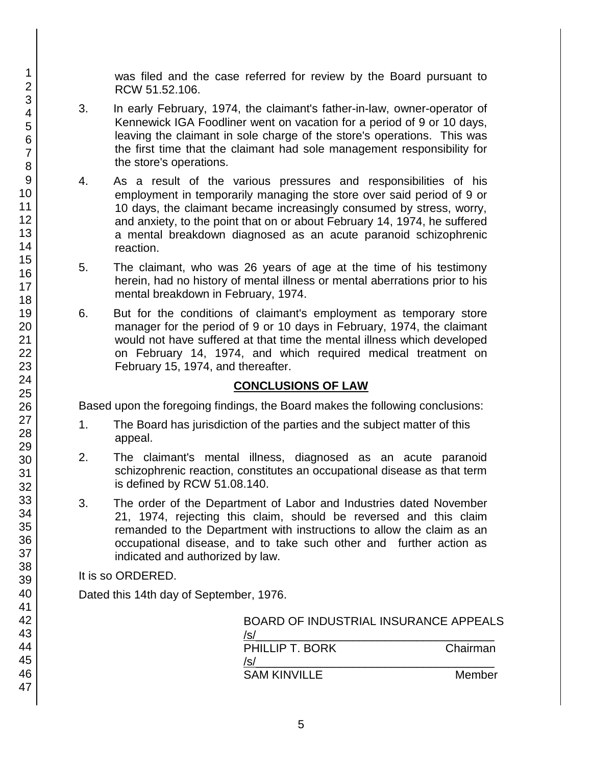was filed and the case referred for review by the Board pursuant to RCW 51.52.106.

- 3. In early February, 1974, the claimant's father-in-law, owner-operator of Kennewick IGA Foodliner went on vacation for a period of 9 or 10 days, leaving the claimant in sole charge of the store's operations. This was the first time that the claimant had sole management responsibility for the store's operations.
- 4. As a result of the various pressures and responsibilities of his employment in temporarily managing the store over said period of 9 or 10 days, the claimant became increasingly consumed by stress, worry, and anxiety, to the point that on or about February 14, 1974, he suffered a mental breakdown diagnosed as an acute paranoid schizophrenic reaction.
- 5. The claimant, who was 26 years of age at the time of his testimony herein, had no history of mental illness or mental aberrations prior to his mental breakdown in February, 1974.
- 6. But for the conditions of claimant's employment as temporary store manager for the period of 9 or 10 days in February, 1974, the claimant would not have suffered at that time the mental illness which developed on February 14, 1974, and which required medical treatment on February 15, 1974, and thereafter.

## **CONCLUSIONS OF LAW**

Based upon the foregoing findings, the Board makes the following conclusions:

- 1. The Board has jurisdiction of the parties and the subject matter of this appeal.
- 2. The claimant's mental illness, diagnosed as an acute paranoid schizophrenic reaction, constitutes an occupational disease as that term is defined by RCW 51.08.140.
- 3. The order of the Department of Labor and Industries dated November 21, 1974, rejecting this claim, should be reversed and this claim remanded to the Department with instructions to allow the claim as an occupational disease, and to take such other and further action as indicated and authorized by law.

### It is so ORDERED.

Dated this 14th day of September, 1976.

| BOARD OF INDUSTRIAL INSURANCE APPEALS<br>$\sqrt{s}$ |          |
|-----------------------------------------------------|----------|
| PHILLIP T. BORK<br>$\sqrt{s}$                       | Chairman |
| <b>SAM KINVILLE</b>                                 | Member   |